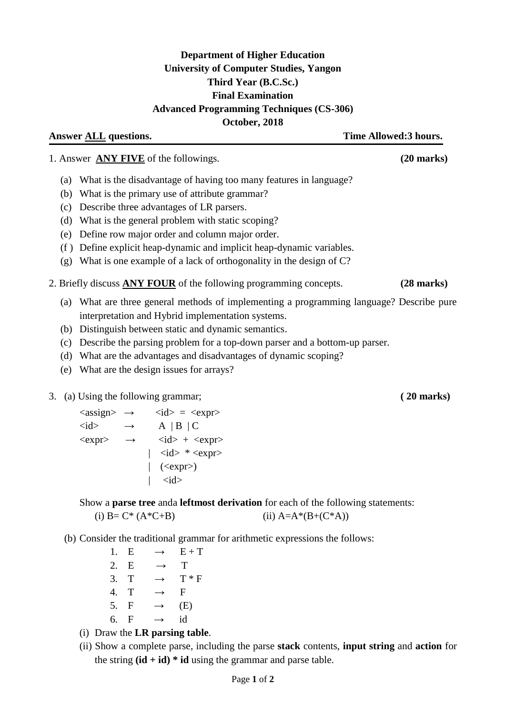## **Department of Higher Education University of Computer Studies, Yangon Third Year (B.C.Sc.) Final Examination Advanced Programming Techniques (CS-306) October, 2018**

**Answer ALL questions. Time Allowed:3 hours.**

1. Answer **ANY FIVE** of the followings. **(20 marks)**

- (a) What is the disadvantage of having too many features in language?
- (b) What is the primary use of attribute grammar?
- (c) Describe three advantages of LR parsers.
- (d) What is the general problem with static scoping?
- (e) Define row major order and column major order.
- (f ) Define explicit heap-dynamic and implicit heap-dynamic variables.
- (g) What is one example of a lack of orthogonality in the design of C?
- 2. Briefly discuss **ANY FOUR** of the following programming concepts. **(28 marks)**
	- (a) What are three general methods of implementing a programming language? Describe pure interpretation and Hybrid implementation systems.
	- (b) Distinguish between static and dynamic semantics.
	- (c) Describe the parsing problem for a top-down parser and a bottom-up parser.
	- (d) What are the advantages and disadvantages of dynamic scoping?
	- (e) What are the design issues for arrays?
- 3. (a) Using the following grammar; **( 20 marks)**

 $\langle \text{assign} \rangle \rightarrow \langle \text{ id} \rangle = \langle \text{expr} \rangle$  $\langle id \rangle \rightarrow A \mid B \mid C$  $\langle \text{expr} \rangle$   $\rightarrow$   $\langle \text{id} \rangle$  +  $\langle \text{expr} \rangle$  $|$   $\langle$ id $>$   $*$   $\langle$ expr $>$  $|$  (<expr>)  $\langle$ id $\rangle$ 

Show a **parse tree** anda **leftmost derivation** for each of the following statements:

(i) 
$$
B = C^* (A^*C + B)
$$
 \n(ii)  $A = A^* (B + (C^*A))$ 

(b) Consider the traditional grammar for arithmetic expressions the follows:

1. E  $\rightarrow$  E + T 2. E  $\rightarrow$  T 3. T  $\rightarrow$  T  $*$  F 4. T  $\rightarrow$  F 5. F  $\rightarrow$  (E) 6. F  $\rightarrow$  id

- (i) Draw the **LR parsing table**.
- (ii) Show a complete parse, including the parse **stack** contents, **input string** and **action** for the string  $(id + id) * id$  using the grammar and parse table.